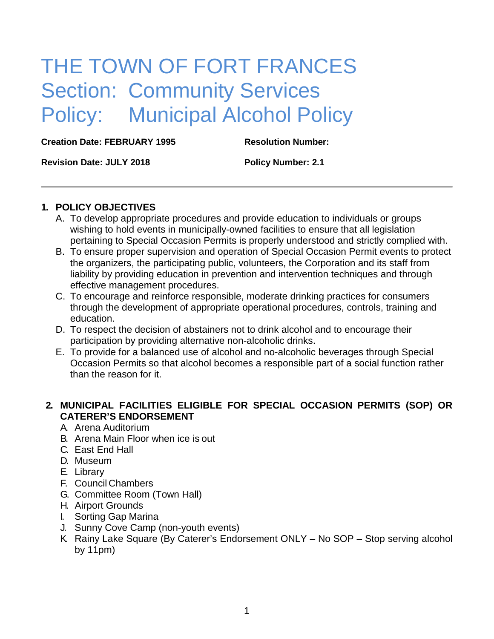# THE TOWN OF FORT FRANCES Section: Community Services Policy: Municipal Alcohol Policy

**Creation Date: FEBRUARY 1995 Resolution Number:**

**Revision Date: JULY 2018 Policy Number: 2.1**

#### **1. POLICY OBJECTIVES**

- A. To develop appropriate procedures and provide education to individuals or groups wishing to hold events in municipally-owned facilities to ensure that all legislation pertaining to Special Occasion Permits is properly understood and strictly complied with.
- B. To ensure proper supervision and operation of Special Occasion Permit events to protect the organizers, the participating public, volunteers, the Corporation and its staff from liability by providing education in prevention and intervention techniques and through effective management procedures.
- C. To encourage and reinforce responsible, moderate drinking practices for consumers through the development of appropriate operational procedures, controls, training and education.
- D. To respect the decision of abstainers not to drink alcohol and to encourage their participation by providing alternative non-alcoholic drinks.
- E. To provide for a balanced use of alcohol and no-alcoholic beverages through Special Occasion Permits so that alcohol becomes a responsible part of a social function rather than the reason for it.

## **2. MUNICIPAL FACILITIES ELIGIBLE FOR SPECIAL OCCASION PERMITS (SOP) OR CATERER'S ENDORSEMENT**

- A. Arena Auditorium
- B. Arena Main Floor when ice is out
- C. East End Hall
- D. Museum
- E. Library
- F. Council Chambers
- G. Committee Room (Town Hall)
- H. Airport Grounds
- I. Sorting Gap Marina
- J. Sunny Cove Camp (non-youth events)
- K. Rainy Lake Square (By Caterer's Endorsement ONLY No SOP Stop serving alcohol by 11pm)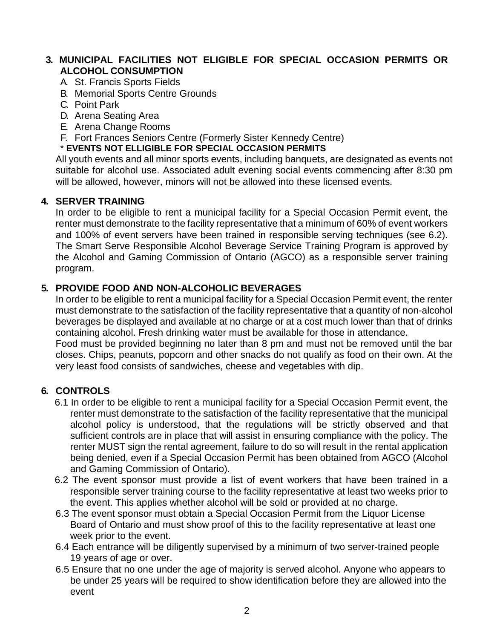## **3. MUNICIPAL FACILITIES NOT ELIGIBLE FOR SPECIAL OCCASION PERMITS OR ALCOHOL CONSUMPTION**

- A. St. Francis Sports Fields
- B. Memorial Sports Centre Grounds
- C. Point Park
- D. Arena Seating Area
- E. Arena Change Rooms
- F. Fort Frances Seniors Centre (Formerly Sister Kennedy Centre)

## \* **EVENTS NOT ELLIGIBLE FOR SPECIAL OCCASION PERMITS**

All youth events and all minor sports events, including banquets, are designated as events not suitable for alcohol use. Associated adult evening social events commencing after 8:30 pm will be allowed, however, minors will not be allowed into these licensed events.

#### **4. SERVER TRAINING**

In order to be eligible to rent a municipal facility for a Special Occasion Permit event, the renter must demonstrate to the facility representative that a minimum of 60% of event workers and 100% of event servers have been trained in responsible serving techniques (see 6.2). The Smart Serve Responsible Alcohol Beverage Service Training Program is approved by the Alcohol and Gaming Commission of Ontario (AGCO) as a responsible server training program.

## **5. PROVIDE FOOD AND NON-ALCOHOLIC BEVERAGES**

In order to be eligible to rent a municipal facility for a Special Occasion Permit event, the renter must demonstrate to the satisfaction of the facility representative that a quantity of non-alcohol beverages be displayed and available at no charge or at a cost much lower than that of drinks containing alcohol. Fresh drinking water must be available for those in attendance.

Food must be provided beginning no later than 8 pm and must not be removed until the bar closes. Chips, peanuts, popcorn and other snacks do not qualify as food on their own. At the very least food consists of sandwiches, cheese and vegetables with dip.

## **6. CONTROLS**

- 6.1 In order to be eligible to rent a municipal facility for a Special Occasion Permit event, the renter must demonstrate to the satisfaction of the facility representative that the municipal alcohol policy is understood, that the regulations will be strictly observed and that sufficient controls are in place that will assist in ensuring compliance with the policy. The renter MUST sign the rental agreement, failure to do so will result in the rental application being denied, even if a Special Occasion Permit has been obtained from AGCO (Alcohol and Gaming Commission of Ontario).
- 6.2 The event sponsor must provide a list of event workers that have been trained in a responsible server training course to the facility representative at least two weeks prior to the event. This applies whether alcohol will be sold or provided at no charge.
- 6.3 The event sponsor must obtain a Special Occasion Permit from the Liquor License Board of Ontario and must show proof of this to the facility representative at least one week prior to the event.
- 6.4 Each entrance will be diligently supervised by a minimum of two server-trained people 19 years of age or over.
- 6.5 Ensure that no one under the age of majority is served alcohol. Anyone who appears to be under 25 years will be required to show identification before they are allowed into the event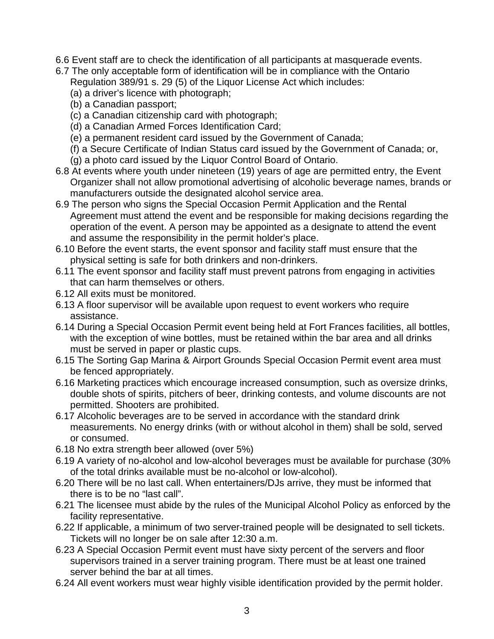- 6.6 Event staff are to check the identification of all participants at masquerade events.
- 6.7 The only acceptable form of identification will be in compliance with the Ontario Regulation 389/91 s. 29 (5) of the Liquor License Act which includes:
	- (a) a driver's licence with photograph;
	- (b) a Canadian passport;
	- (c) a Canadian citizenship card with photograph;
	- (d) a Canadian Armed Forces Identification Card;
	- (e) a permanent resident card issued by the Government of Canada;
	- (f) a Secure Certificate of Indian Status card issued by the Government of Canada; or,
	- (g) a photo card issued by the Liquor Control Board of Ontario.
- 6.8 At events where youth under nineteen (19) years of age are permitted entry, the Event Organizer shall not allow promotional advertising of alcoholic beverage names, brands or manufacturers outside the designated alcohol service area.
- 6.9 The person who signs the Special Occasion Permit Application and the Rental Agreement must attend the event and be responsible for making decisions regarding the operation of the event. A person may be appointed as a designate to attend the event and assume the responsibility in the permit holder's place.
- 6.10 Before the event starts, the event sponsor and facility staff must ensure that the physical setting is safe for both drinkers and non-drinkers.
- 6.11 The event sponsor and facility staff must prevent patrons from engaging in activities that can harm themselves or others.
- 6.12 All exits must be monitored.
- 6.13 A floor supervisor will be available upon request to event workers who require assistance.
- 6.14 During a Special Occasion Permit event being held at Fort Frances facilities, all bottles, with the exception of wine bottles, must be retained within the bar area and all drinks must be served in paper or plastic cups.
- 6.15 The Sorting Gap Marina & Airport Grounds Special Occasion Permit event area must be fenced appropriately.
- 6.16 Marketing practices which encourage increased consumption, such as oversize drinks, double shots of spirits, pitchers of beer, drinking contests, and volume discounts are not permitted. Shooters are prohibited.
- 6.17 Alcoholic beverages are to be served in accordance with the standard drink measurements. No energy drinks (with or without alcohol in them) shall be sold, served or consumed.
- 6.18 No extra strength beer allowed (over 5%)
- 6.19 A variety of no-alcohol and low-alcohol beverages must be available for purchase (30% of the total drinks available must be no-alcohol or low-alcohol).
- 6.20 There will be no last call. When entertainers/DJs arrive, they must be informed that there is to be no "last call".
- 6.21 The licensee must abide by the rules of the Municipal Alcohol Policy as enforced by the facility representative.
- 6.22 If applicable, a minimum of two server-trained people will be designated to sell tickets. Tickets will no longer be on sale after 12:30 a.m.
- 6.23 A Special Occasion Permit event must have sixty percent of the servers and floor supervisors trained in a server training program. There must be at least one trained server behind the bar at all times.
- 6.24 All event workers must wear highly visible identification provided by the permit holder.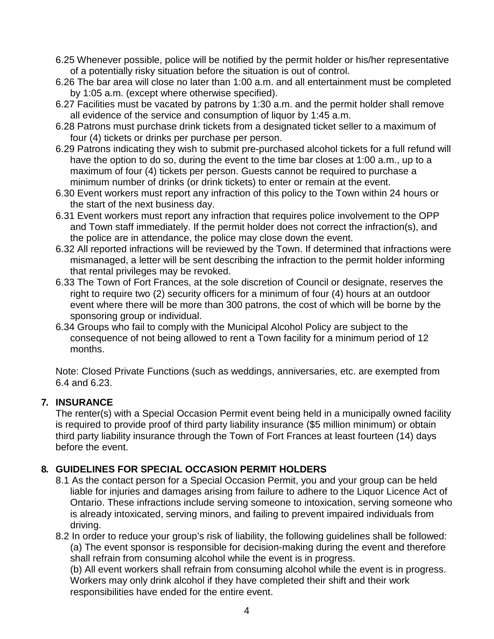- 6.25 Whenever possible, police will be notified by the permit holder or his/her representative of a potentially risky situation before the situation is out of control.
- 6.26 The bar area will close no later than 1:00 a.m. and all entertainment must be completed by 1:05 a.m. (except where otherwise specified).
- 6.27 Facilities must be vacated by patrons by 1:30 a.m. and the permit holder shall remove all evidence of the service and consumption of liquor by 1:45 a.m.
- 6.28 Patrons must purchase drink tickets from a designated ticket seller to a maximum of four (4) tickets or drinks per purchase per person.
- 6.29 Patrons indicating they wish to submit pre-purchased alcohol tickets for a full refund will have the option to do so, during the event to the time bar closes at 1:00 a.m., up to a maximum of four (4) tickets per person. Guests cannot be required to purchase a minimum number of drinks (or drink tickets) to enter or remain at the event.
- 6.30 Event workers must report any infraction of this policy to the Town within 24 hours or the start of the next business day.
- 6.31 Event workers must report any infraction that requires police involvement to the OPP and Town staff immediately. If the permit holder does not correct the infraction(s), and the police are in attendance, the police may close down the event.
- 6.32 All reported infractions will be reviewed by the Town. If determined that infractions were mismanaged, a letter will be sent describing the infraction to the permit holder informing that rental privileges may be revoked.
- 6.33 The Town of Fort Frances, at the sole discretion of Council or designate, reserves the right to require two (2) security officers for a minimum of four (4) hours at an outdoor event where there will be more than 300 patrons, the cost of which will be borne by the sponsoring group or individual.
- 6.34 Groups who fail to comply with the Municipal Alcohol Policy are subject to the consequence of not being allowed to rent a Town facility for a minimum period of 12 months.

Note: Closed Private Functions (such as weddings, anniversaries, etc. are exempted from 6.4 and 6.23.

# **7. INSURANCE**

The renter(s) with a Special Occasion Permit event being held in a municipally owned facility is required to provide proof of third party liability insurance (\$5 million minimum) or obtain third party liability insurance through the Town of Fort Frances at least fourteen (14) days before the event.

# **8. GUIDELINES FOR SPECIAL OCCASION PERMIT HOLDERS**

8.1 As the contact person for a Special Occasion Permit, you and your group can be held liable for injuries and damages arising from failure to adhere to the Liquor Licence Act of Ontario. These infractions include serving someone to intoxication, serving someone who is already intoxicated, serving minors, and failing to prevent impaired individuals from driving.

8.2 In order to reduce your group's risk of liability, the following guidelines shall be followed: (a) The event sponsor is responsible for decision-making during the event and therefore shall refrain from consuming alcohol while the event is in progress.

(b) All event workers shall refrain from consuming alcohol while the event is in progress. Workers may only drink alcohol if they have completed their shift and their work responsibilities have ended for the entire event.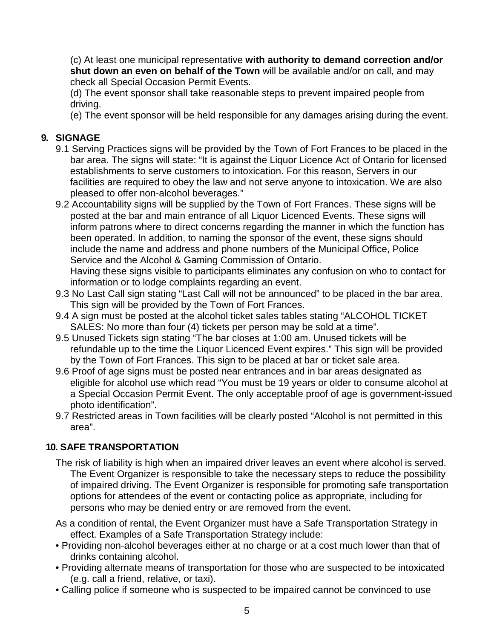(c) At least one municipal representative **with authority to demand correction and/or shut down an even on behalf of the Town** will be available and/or on call, and may check all Special Occasion Permit Events.

(d) The event sponsor shall take reasonable steps to prevent impaired people from driving.

(e) The event sponsor will be held responsible for any damages arising during the event.

# **9. SIGNAGE**

- 9.1 Serving Practices signs will be provided by the Town of Fort Frances to be placed in the bar area. The signs will state: "It is against the Liquor Licence Act of Ontario for licensed establishments to serve customers to intoxication. For this reason, Servers in our facilities are required to obey the law and not serve anyone to intoxication. We are also pleased to offer non-alcohol beverages."
- 9.2 Accountability signs will be supplied by the Town of Fort Frances. These signs will be posted at the bar and main entrance of all Liquor Licenced Events. These signs will inform patrons where to direct concerns regarding the manner in which the function has been operated. In addition, to naming the sponsor of the event, these signs should include the name and address and phone numbers of the Municipal Office, Police Service and the Alcohol & Gaming Commission of Ontario.

Having these signs visible to participants eliminates any confusion on who to contact for information or to lodge complaints regarding an event.

- 9.3 No Last Call sign stating "Last Call will not be announced" to be placed in the bar area. This sign will be provided by the Town of Fort Frances.
- 9.4 A sign must be posted at the alcohol ticket sales tables stating "ALCOHOL TICKET SALES: No more than four (4) tickets per person may be sold at a time".
- 9.5 Unused Tickets sign stating "The bar closes at 1:00 am. Unused tickets will be refundable up to the time the Liquor Licenced Event expires." This sign will be provided by the Town of Fort Frances. This sign to be placed at bar or ticket sale area.
- 9.6 Proof of age signs must be posted near entrances and in bar areas designated as eligible for alcohol use which read "You must be 19 years or older to consume alcohol at a Special Occasion Permit Event. The only acceptable proof of age is government-issued photo identification".
- 9.7 Restricted areas in Town facilities will be clearly posted "Alcohol is not permitted in this area".

# **10. SAFE TRANSPORTATION**

- The risk of liability is high when an impaired driver leaves an event where alcohol is served. The Event Organizer is responsible to take the necessary steps to reduce the possibility of impaired driving. The Event Organizer is responsible for promoting safe transportation options for attendees of the event or contacting police as appropriate, including for persons who may be denied entry or are removed from the event.
- As a condition of rental, the Event Organizer must have a Safe Transportation Strategy in effect. Examples of a Safe Transportation Strategy include:
- Providing non-alcohol beverages either at no charge or at a cost much lower than that of drinks containing alcohol.
- Providing alternate means of transportation for those who are suspected to be intoxicated (e.g. call a friend, relative, or taxi).
- Calling police if someone who is suspected to be impaired cannot be convinced to use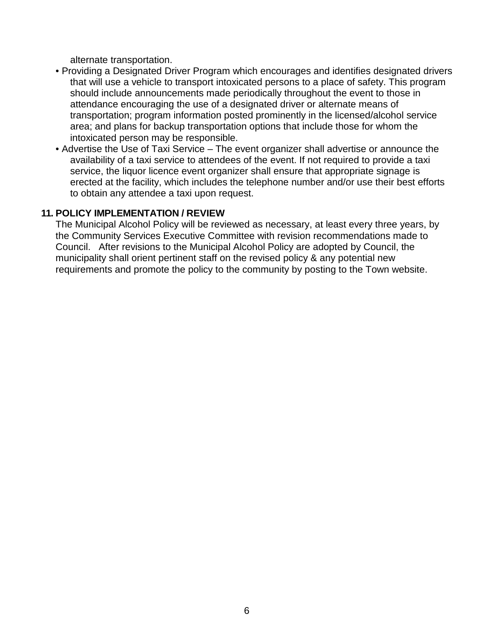alternate transportation.

- Providing a Designated Driver Program which encourages and identifies designated drivers that will use a vehicle to transport intoxicated persons to a place of safety. This program should include announcements made periodically throughout the event to those in attendance encouraging the use of a designated driver or alternate means of transportation; program information posted prominently in the licensed/alcohol service area; and plans for backup transportation options that include those for whom the intoxicated person may be responsible.
- Advertise the Use of Taxi Service The event organizer shall advertise or announce the availability of a taxi service to attendees of the event. If not required to provide a taxi service, the liquor licence event organizer shall ensure that appropriate signage is erected at the facility, which includes the telephone number and/or use their best efforts to obtain any attendee a taxi upon request.

#### **11. POLICY IMPLEMENTATION / REVIEW**

The Municipal Alcohol Policy will be reviewed as necessary, at least every three years, by the Community Services Executive Committee with revision recommendations made to Council. After revisions to the Municipal Alcohol Policy are adopted by Council, the municipality shall orient pertinent staff on the revised policy & any potential new requirements and promote the policy to the community by posting to the Town website.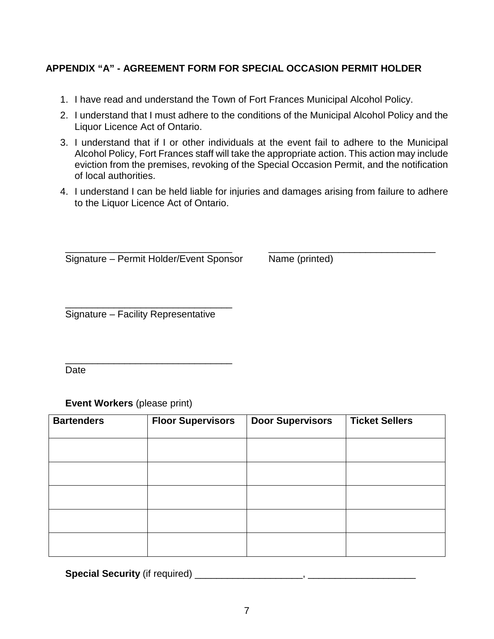## **APPENDIX "A" - AGREEMENT FORM FOR SPECIAL OCCASION PERMIT HOLDER**

- 1. I have read and understand the Town of Fort Frances Municipal Alcohol Policy.
- 2. I understand that I must adhere to the conditions of the Municipal Alcohol Policy and the Liquor Licence Act of Ontario.
- 3. I understand that if I or other individuals at the event fail to adhere to the Municipal Alcohol Policy, Fort Frances staff will take the appropriate action. This action may include eviction from the premises, revoking of the Special Occasion Permit, and the notification of local authorities.
- 4. I understand I can be held liable for injuries and damages arising from failure to adhere to the Liquor Licence Act of Ontario.

\_\_\_\_\_\_\_\_\_\_\_\_\_\_\_\_\_\_\_\_\_\_\_\_\_\_\_\_\_\_\_ \_\_\_\_\_\_\_\_\_\_\_\_\_\_\_\_\_\_\_\_\_\_\_\_\_\_\_\_\_\_\_ Signature – Permit Holder/Event Sponsor Name (printed)

\_\_\_\_\_\_\_\_\_\_\_\_\_\_\_\_\_\_\_\_\_\_\_\_\_\_\_\_\_\_\_ Signature – Facility Representative

\_\_\_\_\_\_\_\_\_\_\_\_\_\_\_\_\_\_\_\_\_\_\_\_\_\_\_\_\_\_\_ Date

**Event Workers** (please print)

| <b>Bartenders</b> | <b>Floor Supervisors</b> | <b>Door Supervisors</b> | <b>Ticket Sellers</b> |
|-------------------|--------------------------|-------------------------|-----------------------|
|                   |                          |                         |                       |
|                   |                          |                         |                       |
|                   |                          |                         |                       |
|                   |                          |                         |                       |
|                   |                          |                         |                       |
|                   |                          |                         |                       |
|                   |                          |                         |                       |
|                   |                          |                         |                       |

**Special Security** (if required) \_\_\_\_\_\_\_\_\_\_\_\_\_\_\_\_\_\_\_\_\_\_\_\_\_,